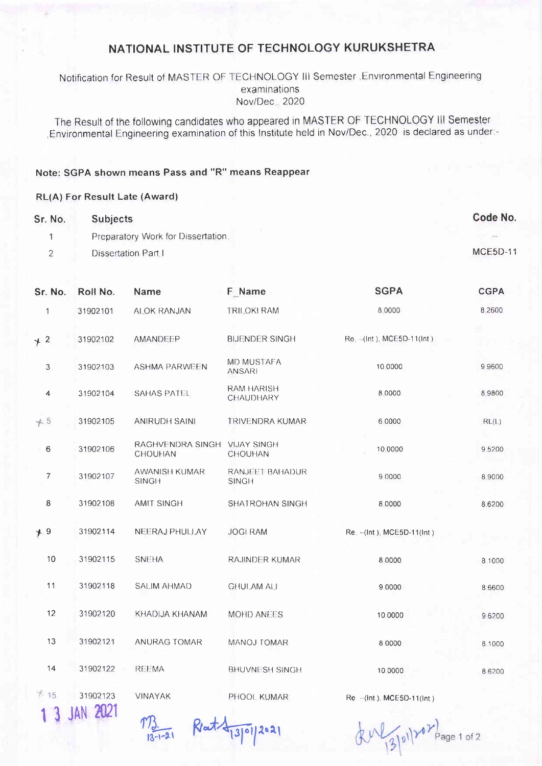## NATIONAL INSTITUTE OF TECHNOLOGY KURUKSHETRA

Notification for Result of MASTER OF TECHNOLOGY III Semester , Environmental Engineering examinations Nov/Dec., 2020

The Result of the following candidates who appeared in MASTER OF TECHNOLOGY III Semester Environmental Engineering examination of this Institute held in Nov/Dec., 2020 is declared as under

## Note: SGPA shown means Pass and "R" means Reappear

## **RL(A) For Result Late (Award)**

| Sr. No. | <b>Subjects</b>                    | Code No.        |
|---------|------------------------------------|-----------------|
|         | Preparatory Work for Dissertation. |                 |
| ÷       | Dissertation Part I                | <b>MCE5D-11</b> |

| Sr. No.        | Roll No.               | Name                                           | F Name                          | <b>SGPA</b>                   | <b>CGPA</b> |
|----------------|------------------------|------------------------------------------------|---------------------------------|-------------------------------|-------------|
| $\mathbf{1}$   | 31902101               | ALOK RANJAN                                    | TRILOKI RAM                     | 8 0000                        | 8.2600      |
| $+2$           | 31902102               | AMANDEEP                                       | <b>BIJENDER SINGH</b>           | $Re. - (Int). MCE5D-11(int)$  |             |
| $\mathfrak{Z}$ | 31902103               | <b>ASHMA PARWEEN</b>                           | MD MUSTAFA<br><b>ANSARI</b>     | 10 0000                       | 9.9600      |
| 4              | 31902104               | <b>SAHAS PATEL</b>                             | <b>RAM HARISH</b><br>CHAUDHARY  | 8.0000                        | 8 9800      |
| $+5$           | 31902105               | <b>ANIRUDH SAINI</b>                           | <b>TRIVENDRA KUMAR</b>          | 6.0000                        | RL(L)       |
| $\,6\,$        | 31902106               | RAGHVENDRA SINGH VIJAY SINGH<br><b>CHOUHAN</b> | <b>CHOUHAN</b>                  | 10.0000                       | 9,5200      |
| $\overline{7}$ | 31902107               | AWANISH KUMAR<br><b>SINGH</b>                  | RANJEET BAHADUR<br><b>SINGH</b> | 9 0000                        | 8.9000      |
| 8              | 31902108               | <b>AMIT SINGH</b>                              | SHATROHAN SINGH                 | 8.0000                        | 8.6200      |
| $+9$           | 31902114               | NEERAJ PHULLAY                                 | <b>JOGI RAM</b>                 | Re. -- (Int.), MCE5D-11(Int.) |             |
| 10             | 31902115               | <b>SNEHA</b>                                   | <b>RAJINDER KUMAR</b>           | 8.0000                        | 8.1000      |
| 11             | 31902118               | <b>SALIM AHMAD</b>                             | <b>GHULAM ALI</b>               | 9 0000                        | 8 6 6 0 0   |
| 12             | 31902120               | KHADIJA KHANAM                                 | MOHD ANEES                      | 10 0000                       | 9 6 2 0 0   |
| 13             | 31902121               | ANURAG TOMAR                                   | MANOJ TOMAR                     | 8 0000                        | 8 1000      |
| 14             | 31902122               | REEMA                                          | <b>BHUVNESH SINGH</b>           | 10 0000                       | 8 6 2 0 0   |
| 715            | 31902123<br>3 JAN 2021 | <b>VINAYAK</b>                                 | PHOOL KUMAR                     | Re -- (Int ), MCE5D-11(Int )  |             |



 $\sqrt{21}$  Rat  $\sqrt{130}$ /2021

 $\frac{13}{13}$  (1)  $20$ Page 1 of 2